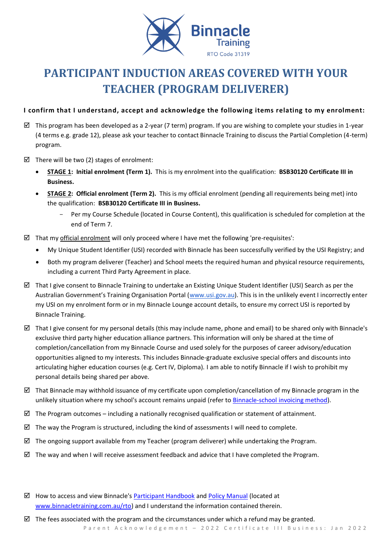

# **PARTICIPANT INDUCTION AREAS COVERED WITH YOUR TEACHER (PROGRAM DELIVERER)**

## **I confirm that I understand, accept and acknowledge the following items relating to my enrolment:**

- $\boxtimes$  This program has been developed as a 2-year (7 term) program. If you are wishing to complete your studies in 1-year (4 terms e.g. grade 12), please ask your teacher to contact Binnacle Training to discuss the Partial Completion (4-term) program.
- $\boxtimes$  There will be two (2) stages of enrolment:
	- **STAGE 1: Initial enrolment (Term 1).** This is my enrolment into the qualification: **BSB30120 Certificate III in Business.**
	- **STAGE 2: Official enrolment (Term 2).** This is my official enrolment (pending all requirements being met) into the qualification: **BSB30120 Certificate III in Business.**
		- Per my Course Schedule (located in Course Content), this qualification is scheduled for completion at the end of Term 7.
- $\boxtimes$  That my official enrolment will only proceed where I have met the following 'pre-requisites':
	- My Unique Student Identifier (USI) recorded with Binnacle has been successfully verified by the USI Registry; and
	- Both my program deliverer (Teacher) and School meets the required human and physical resource requirements, including a current Third Party Agreement in place.
- $\boxtimes$  That I give consent to Binnacle Training to undertake an Existing Unique Student Identifier (USI) Search as per the Australian Government's Training Organisation Portal ([www.usi.gov.au\)](http://www.usi.gov.au/). This is in the unlikely event I incorrectly enter my USI on my enrolment form or in my Binnacle Lounge account details, to ensure my correct USI is reported by Binnacle Training.
- $\boxtimes$  That I give consent for my personal details (this may include name, phone and email) to be shared only with Binnacle's exclusive third party higher education alliance partners. This information will only be shared at the time of completion/cancellation from my Binnacle Course and used solely for the purposes of career advisory/education opportunities aligned to my interests. This includes Binnacle-graduate exclusive special offers and discounts into articulating higher education courses (e.g. Cert IV, Diploma). I am able to notify Binnacle if I wish to prohibit my personal details being shared per above.
- $\boxtimes$  That Binnacle may withhold issuance of my certificate upon completion/cancellation of my Binnacle program in the unlikely situation where my school's account remains unpaid (refer t[o Binnacle-school invoicing method\)](https://www.binnacletraining.com.au/for-schools/pricing/).
- $\boxtimes$  The Program outcomes including a nationally recognised qualification or statement of attainment.
- $\boxtimes$  The way the Program is structured, including the kind of assessments I will need to complete.
- $\boxtimes$  The ongoing support available from my Teacher (program deliverer) while undertaking the Program.
- $\boxtimes$  The way and when I will receive assessment feedback and advice that I have completed the Program.
- $\boxtimes$  How to access and view Binnacle's [Participant Handbook](http://www.binnacletraining.com.au/rto.php) an[d Policy Manual](http://www.binnacletraining.com.au/rto.php) (located at [www.binnacletraining.com.au/rto\)](http://www.binnacletraining.com.au/rto) and I understand the information contained therein.

Parent Acknowledgement - 2022 Certificate III Business: Jan 2022  $\boxtimes$  The fees associated with the program and the circumstances under which a refund may be granted.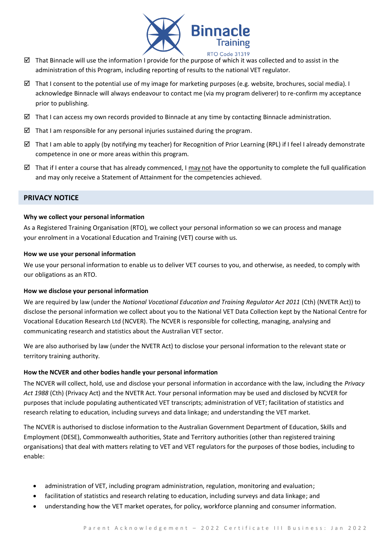

- That Binnacle will use the information I provide for the purpose of which it was collected and to assist in the administration of this Program, including reporting of results to the national VET regulator.
- $\boxtimes$  That I consent to the potential use of my image for marketing purposes (e.g. website, brochures, social media). I acknowledge Binnacle will always endeavour to contact me (via my program deliverer) to re-confirm my acceptance prior to publishing.
- $\boxtimes$  That I can access my own records provided to Binnacle at any time by contacting Binnacle administration.
- $\boxtimes$  That I am responsible for any personal injuries sustained during the program.
- $\boxtimes$  That I am able to apply (by notifying my teacher) for Recognition of Prior Learning (RPL) if I feel I already demonstrate competence in one or more areas within this program.
- That if I enter a course that has already commenced, I may not have the opportunity to complete the full qualification and may only receive a Statement of Attainment for the competencies achieved.

## **PRIVACY NOTICE**

#### **Why we collect your personal information**

As a Registered Training Organisation (RTO), we collect your personal information so we can process and manage your enrolment in a Vocational Education and Training (VET) course with us.

#### **How we use your personal information**

We use your personal information to enable us to deliver VET courses to you, and otherwise, as needed, to comply with our obligations as an RTO.

#### **How we disclose your personal information**

We are required by law (under the *National Vocational Education and Training Regulator Act 2011* (Cth) (NVETR Act)) to disclose the personal information we collect about you to the National VET Data Collection kept by the National Centre for Vocational Education Research Ltd (NCVER). The NCVER is responsible for collecting, managing, analysing and communicating research and statistics about the Australian VET sector.

We are also authorised by law (under the NVETR Act) to disclose your personal information to the relevant state or territory training authority.

#### **How the NCVER and other bodies handle your personal information**

The NCVER will collect, hold, use and disclose your personal information in accordance with the law, including the *Privacy Act 1988* (Cth) (Privacy Act) and the NVETR Act. Your personal information may be used and disclosed by NCVER for purposes that include populating authenticated VET transcripts; administration of VET; facilitation of statistics and research relating to education, including surveys and data linkage; and understanding the VET market.

The NCVER is authorised to disclose information to the Australian Government Department of Education, Skills and Employment (DESE), Commonwealth authorities, State and Territory authorities (other than registered training organisations) that deal with matters relating to VET and VET regulators for the purposes of those bodies, including to enable:

- administration of VET, including program administration, regulation, monitoring and evaluation;
- facilitation of statistics and research relating to education, including surveys and data linkage; and
- understanding how the VET market operates, for policy, workforce planning and consumer information.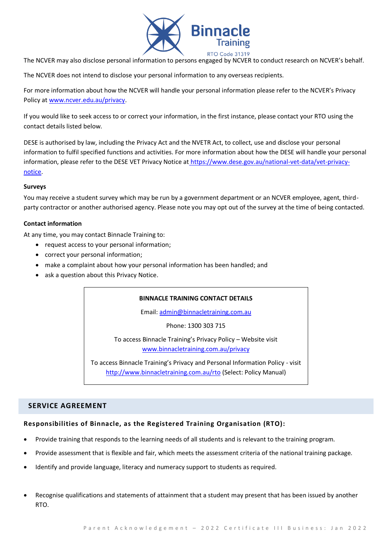

The NCVER may also disclose personal information to persons engaged by NCVER to conduct research on NCVER's behalf.

The NCVER does not intend to disclose your personal information to any overseas recipients.

For more information about how the NCVER will handle your personal information please refer to the NCVER's Privacy Policy a[t www.ncver.edu.au/privacy.](http://www.ncver.edu.au/privacy)

If you would like to seek access to or correct your information, in the first instance, please contact your RTO using the contact details listed below.

DESE is authorised by law, including the Privacy Act and the NVETR Act, to collect, use and disclose your personal information to fulfil specified functions and activities. For more information about how the DESE will handle your personal information, please refer to the DESE VET Privacy Notice at [https://www.dese.gov.au/national-vet-data/vet-privacy](https://www.dese.gov.au/national-vet-data/vet-privacy-notice)[notice.](https://www.dese.gov.au/national-vet-data/vet-privacy-notice)

#### **Surveys**

You may receive a student survey which may be run by a government department or an NCVER employee, agent, thirdparty contractor or another authorised agency. Please note you may opt out of the survey at the time of being contacted.

#### **Contact information**

At any time, you may contact Binnacle Training to:

- request access to your personal information;
- correct your personal information;
- make a complaint about how your personal information has been handled; and
- ask a question about this Privacy Notice.

## **BINNACLE TRAINING CONTACT DETAILS**

Email: [admin@binnacletraining.com.au](mailto:admin@binnacletraining.com.au)

Phone: 1300 303 715

To access Binnacle Training's Privacy Policy – Website visit [www.binnacletraining.com.au/privacy](http://www.binnacletraining.com.au/privacy)

To access Binnacle Training's Privacy and Personal Information Policy - visit <http://www.binnacletraining.com.au/rto> (Select: Policy Manual)

## **SERVICE AGREEMENT**

## **Responsibilities of Binnacle, as the Registered Training Organisation (RTO):**

- Provide training that responds to the learning needs of all students and is relevant to the training program.
- Provide assessment that is flexible and fair, which meets the assessment criteria of the national training package.
- Identify and provide language, literacy and numeracy support to students as required.
- Recognise qualifications and statements of attainment that a student may present that has been issued by another RTO.